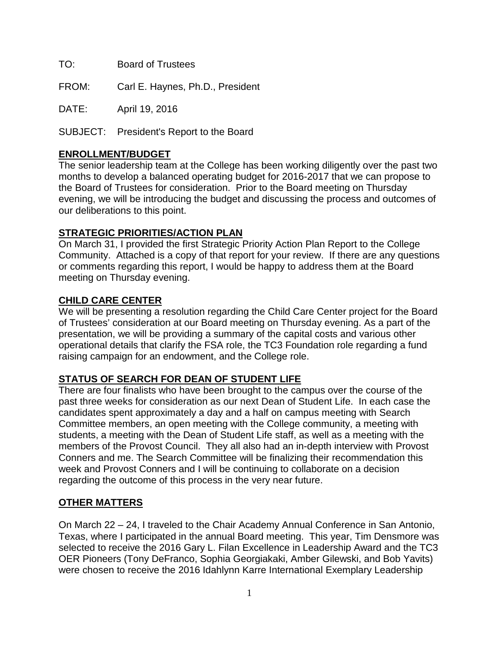TO: Board of Trustees

FROM: Carl E. Haynes, Ph.D., President

DATE: April 19, 2016

SUBJECT: President's Report to the Board

# **ENROLLMENT/BUDGET**

The senior leadership team at the College has been working diligently over the past two months to develop a balanced operating budget for 2016-2017 that we can propose to the Board of Trustees for consideration. Prior to the Board meeting on Thursday evening, we will be introducing the budget and discussing the process and outcomes of our deliberations to this point.

# **STRATEGIC PRIORITIES/ACTION PLAN**

On March 31, I provided the first Strategic Priority Action Plan Report to the College Community. Attached is a copy of that report for your review. If there are any questions or comments regarding this report, I would be happy to address them at the Board meeting on Thursday evening.

# **CHILD CARE CENTER**

We will be presenting a resolution regarding the Child Care Center project for the Board of Trustees' consideration at our Board meeting on Thursday evening. As a part of the presentation, we will be providing a summary of the capital costs and various other operational details that clarify the FSA role, the TC3 Foundation role regarding a fund raising campaign for an endowment, and the College role.

# **STATUS OF SEARCH FOR DEAN OF STUDENT LIFE**

There are four finalists who have been brought to the campus over the course of the past three weeks for consideration as our next Dean of Student Life. In each case the candidates spent approximately a day and a half on campus meeting with Search Committee members, an open meeting with the College community, a meeting with students, a meeting with the Dean of Student Life staff, as well as a meeting with the members of the Provost Council. They all also had an in-depth interview with Provost Conners and me. The Search Committee will be finalizing their recommendation this week and Provost Conners and I will be continuing to collaborate on a decision regarding the outcome of this process in the very near future.

# **OTHER MATTERS**

On March 22 – 24, I traveled to the Chair Academy Annual Conference in San Antonio, Texas, where I participated in the annual Board meeting. This year, Tim Densmore was selected to receive the 2016 Gary L. Filan Excellence in Leadership Award and the TC3 OER Pioneers (Tony DeFranco, Sophia Georgiakaki, Amber Gilewski, and Bob Yavits) were chosen to receive the 2016 Idahlynn Karre International Exemplary Leadership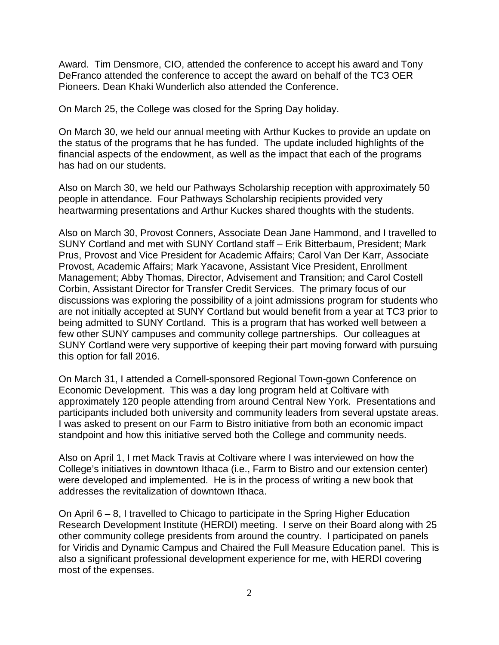Award. Tim Densmore, CIO, attended the conference to accept his award and Tony DeFranco attended the conference to accept the award on behalf of the TC3 OER Pioneers. Dean Khaki Wunderlich also attended the Conference.

On March 25, the College was closed for the Spring Day holiday.

On March 30, we held our annual meeting with Arthur Kuckes to provide an update on the status of the programs that he has funded. The update included highlights of the financial aspects of the endowment, as well as the impact that each of the programs has had on our students.

Also on March 30, we held our Pathways Scholarship reception with approximately 50 people in attendance. Four Pathways Scholarship recipients provided very heartwarming presentations and Arthur Kuckes shared thoughts with the students.

Also on March 30, Provost Conners, Associate Dean Jane Hammond, and I travelled to SUNY Cortland and met with SUNY Cortland staff – Erik Bitterbaum, President; Mark Prus, Provost and Vice President for Academic Affairs; Carol Van Der Karr, Associate Provost, Academic Affairs; Mark Yacavone, Assistant Vice President, Enrollment Management; Abby Thomas, Director, Advisement and Transition; and Carol Costell Corbin, Assistant Director for Transfer Credit Services. The primary focus of our discussions was exploring the possibility of a joint admissions program for students who are not initially accepted at SUNY Cortland but would benefit from a year at TC3 prior to being admitted to SUNY Cortland. This is a program that has worked well between a few other SUNY campuses and community college partnerships. Our colleagues at SUNY Cortland were very supportive of keeping their part moving forward with pursuing this option for fall 2016.

On March 31, I attended a Cornell-sponsored Regional Town-gown Conference on Economic Development. This was a day long program held at Coltivare with approximately 120 people attending from around Central New York. Presentations and participants included both university and community leaders from several upstate areas. I was asked to present on our Farm to Bistro initiative from both an economic impact standpoint and how this initiative served both the College and community needs.

Also on April 1, I met Mack Travis at Coltivare where I was interviewed on how the College's initiatives in downtown Ithaca (i.e., Farm to Bistro and our extension center) were developed and implemented. He is in the process of writing a new book that addresses the revitalization of downtown Ithaca.

On April 6 – 8, I travelled to Chicago to participate in the Spring Higher Education Research Development Institute (HERDI) meeting. I serve on their Board along with 25 other community college presidents from around the country. I participated on panels for Viridis and Dynamic Campus and Chaired the Full Measure Education panel. This is also a significant professional development experience for me, with HERDI covering most of the expenses.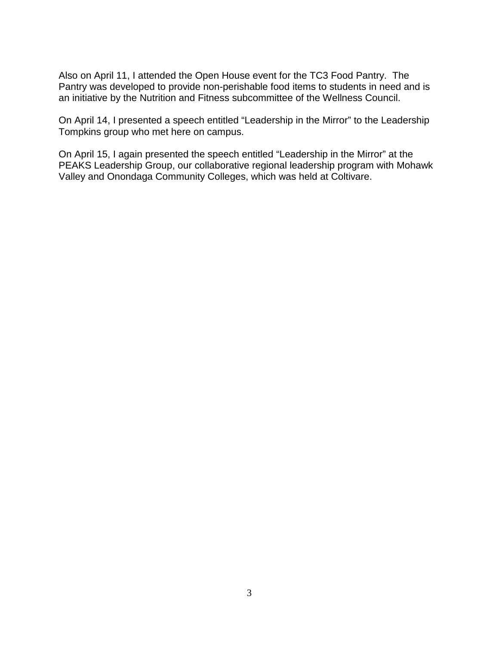Also on April 11, I attended the Open House event for the TC3 Food Pantry. The Pantry was developed to provide non-perishable food items to students in need and is an initiative by the Nutrition and Fitness subcommittee of the Wellness Council.

On April 14, I presented a speech entitled "Leadership in the Mirror" to the Leadership Tompkins group who met here on campus.

On April 15, I again presented the speech entitled "Leadership in the Mirror" at the PEAKS Leadership Group, our collaborative regional leadership program with Mohawk Valley and Onondaga Community Colleges, which was held at Coltivare.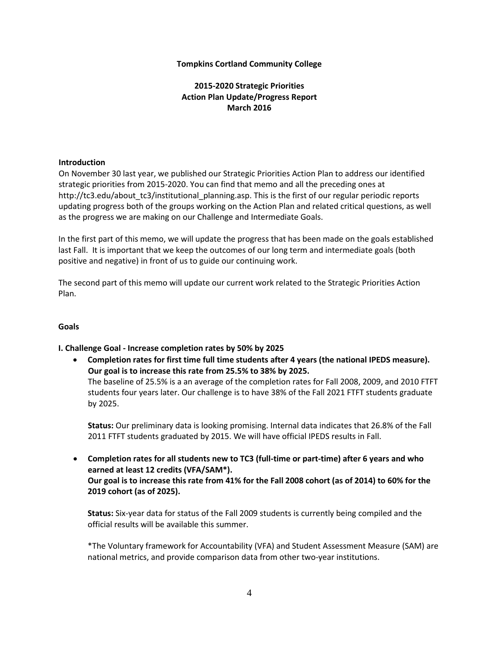### **Tompkins Cortland Community College**

# **2015-2020 Strategic Priorities Action Plan Update/Progress Report March 2016**

#### **Introduction**

On November 30 last year, we published our Strategic Priorities Action Plan to address our identified strategic priorities from 2015-2020. You can find that memo and all the preceding ones at http://tc3.edu/about\_tc3/institutional\_planning.asp. This is the first of our regular periodic reports updating progress both of the groups working on the Action Plan and related critical questions, as well as the progress we are making on our Challenge and Intermediate Goals.

In the first part of this memo, we will update the progress that has been made on the goals established last Fall. It is important that we keep the outcomes of our long term and intermediate goals (both positive and negative) in front of us to guide our continuing work.

The second part of this memo will update our current work related to the Strategic Priorities Action Plan.

## **Goals**

## **I. Challenge Goal - Increase completion rates by 50% by 2025**

• **Completion rates for first time full time students after 4 years (the national IPEDS measure). Our goal is to increase this rate from 25.5% to 38% by 2025.** The baseline of 25.5% is a an average of the completion rates for Fall 2008, 2009, and 2010 FTFT students four years later. Our challenge is to have 38% of the Fall 2021 FTFT students graduate by 2025.

**Status:** Our preliminary data is looking promising. Internal data indicates that 26.8% of the Fall 2011 FTFT students graduated by 2015. We will have official IPEDS results in Fall.

• **Completion rates for all students new to TC3 (full-time or part-time) after 6 years and who earned at least 12 credits (VFA/SAM\*).** Our goal is to increase this rate from 41% for the Fall 2008 cohort (as of 2014) to 60% for the **2019 cohort (as of 2025).**

**Status:** Six-year data for status of the Fall 2009 students is currently being compiled and the official results will be available this summer.

\*The Voluntary framework for Accountability (VFA) and Student Assessment Measure (SAM) are national metrics, and provide comparison data from other two-year institutions.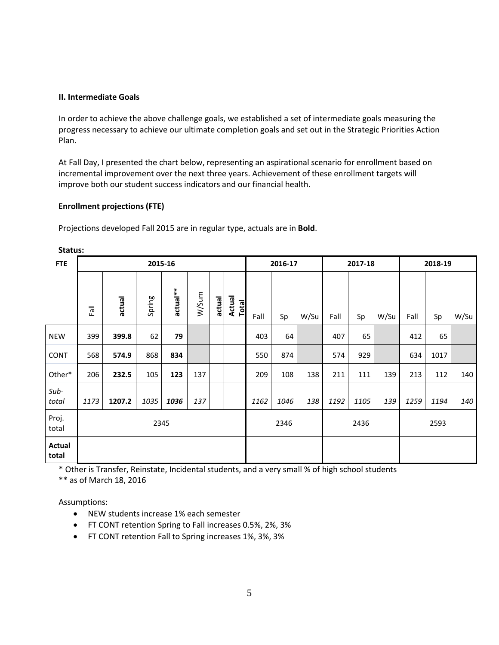### **II. Intermediate Goals**

In order to achieve the above challenge goals, we established a set of intermediate goals measuring the progress necessary to achieve our ultimate completion goals and set out in the Strategic Priorities Action Plan.

At Fall Day, I presented the chart below, representing an aspirational scenario for enrollment based on incremental improvement over the next three years. Achievement of these enrollment targets will improve both our student success indicators and our financial health.

## **Enrollment projections (FTE)**

Projections developed Fall 2015 are in regular type, actuals are in **Bold**.

| <b>FTE</b>      | 2015-16         |        |        |          |       | 2016-17 |                 | 2017-18 |      |      | 2018-19 |      |      |      |      |      |
|-----------------|-----------------|--------|--------|----------|-------|---------|-----------------|---------|------|------|---------|------|------|------|------|------|
|                 | $F\overline{a}$ | actual | Spring | actual** | W/Sum | actual  | Actual<br>Total | Fall    | Sp   | W/Su | Fall    | Sp   | W/Su | Fall | Sp   | W/Su |
| <b>NEW</b>      | 399             | 399.8  | 62     | 79       |       |         |                 | 403     | 64   |      | 407     | 65   |      | 412  | 65   |      |
| CONT            | 568             | 574.9  | 868    | 834      |       |         |                 | 550     | 874  |      | 574     | 929  |      | 634  | 1017 |      |
| Other*          | 206             | 232.5  | 105    | 123      | 137   |         |                 | 209     | 108  | 138  | 211     | 111  | 139  | 213  | 112  | 140  |
| Sub-<br>total   | 1173            | 1207.2 | 1035   | 1036     | 137   |         |                 | 1162    | 1046 | 138  | 1192    | 1105 | 139  | 1259 | 1194 | 140  |
| Proj.<br>total  | 2345            |        |        |          |       | 2346    |                 | 2436    |      | 2593 |         |      |      |      |      |      |
| Actual<br>total |                 |        |        |          |       |         |                 |         |      |      |         |      |      |      |      |      |

**Status:**

\* Other is Transfer, Reinstate, Incidental students, and a very small % of high school students

\*\* as of March 18, 2016

Assumptions:

- NEW students increase 1% each semester
- FT CONT retention Spring to Fall increases 0.5%, 2%, 3%
- FT CONT retention Fall to Spring increases 1%, 3%, 3%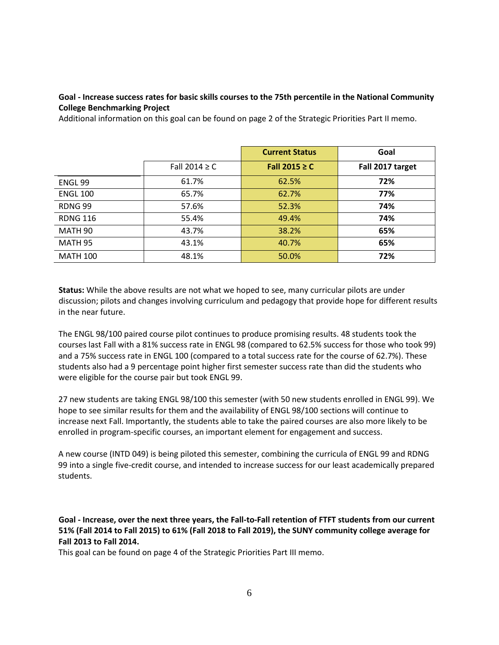## **Goal - Increase success rates for basic skills courses to the 75th percentile in the National Community College Benchmarking Project**

Additional information on this goal can be found on page 2 of the Strategic Priorities Part II memo.

|                 |                    | <b>Current Status</b> | Goal             |  |  |
|-----------------|--------------------|-----------------------|------------------|--|--|
|                 | Fall 2014 $\geq$ C | Fall 2015 $\geq$ C    | Fall 2017 target |  |  |
| ENGL 99         | 61.7%              | 62.5%                 | 72%              |  |  |
| <b>ENGL 100</b> | 65.7%              | 62.7%                 | 77%              |  |  |
| RDNG 99         | 57.6%              | 52.3%                 | 74%              |  |  |
| <b>RDNG 116</b> | 55.4%              | 49.4%                 | 74%              |  |  |
| MATH 90         | 43.7%              | 38.2%                 | 65%              |  |  |
| <b>MATH 95</b>  | 43.1%              | 40.7%                 | 65%              |  |  |
| <b>MATH 100</b> | 48.1%              | 50.0%                 | 72%              |  |  |

**Status:** While the above results are not what we hoped to see, many curricular pilots are under discussion; pilots and changes involving curriculum and pedagogy that provide hope for different results in the near future.

The ENGL 98/100 paired course pilot continues to produce promising results. 48 students took the courses last Fall with a 81% success rate in ENGL 98 (compared to 62.5% success for those who took 99) and a 75% success rate in ENGL 100 (compared to a total success rate for the course of 62.7%). These students also had a 9 percentage point higher first semester success rate than did the students who were eligible for the course pair but took ENGL 99.

27 new students are taking ENGL 98/100 this semester (with 50 new students enrolled in ENGL 99). We hope to see similar results for them and the availability of ENGL 98/100 sections will continue to increase next Fall. Importantly, the students able to take the paired courses are also more likely to be enrolled in program-specific courses, an important element for engagement and success.

A new course (INTD 049) is being piloted this semester, combining the curricula of ENGL 99 and RDNG 99 into a single five-credit course, and intended to increase success for our least academically prepared students.

**Goal - Increase, over the next three years, the Fall-to-Fall retention of FTFT students from our current** 51% (Fall 2014 to Fall 2015) to 61% (Fall 2018 to Fall 2019), the SUNY community college average for **Fall 2013 to Fall 2014.**

This goal can be found on page 4 of the Strategic Priorities Part III memo.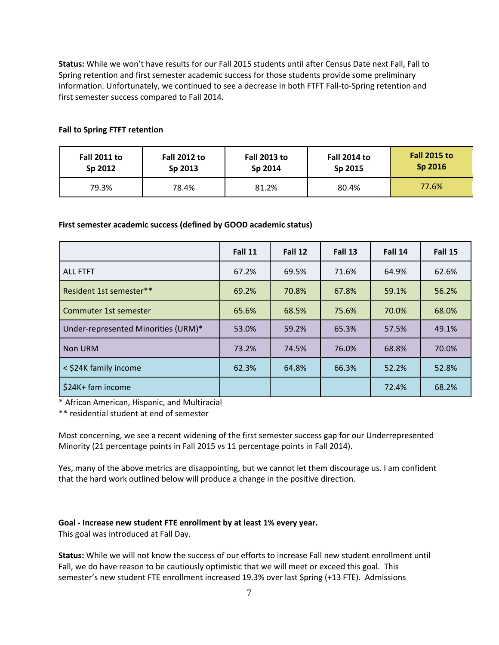**Status:** While we won't have results for our Fall 2015 students until after Census Date next Fall, Fall to Spring retention and first semester academic success for those students provide some preliminary information. Unfortunately, we continued to see a decrease in both FTFT Fall-to-Spring retention and first semester success compared to Fall 2014.

| <b>Fall 2011 to</b> | <b>Fall 2012 to</b> | <b>Fall 2013 to</b> | <b>Fall 2014 to</b> | <b>Fall 2015 to</b> |  |
|---------------------|---------------------|---------------------|---------------------|---------------------|--|
| Sp 2012             | Sp 2013             | Sp 2014             | Sp 2015             | Sp 2016             |  |
| 79.3%               | 78.4%               | 81.2%               | 80.4%               | 77.6%               |  |

## **Fall to Spring FTFT retention**

#### **First semester academic success (defined by GOOD academic status)**

|                                     | Fall 11 | Fall 12 | Fall 13 | Fall 14 | Fall 15 |
|-------------------------------------|---------|---------|---------|---------|---------|
| <b>ALL FTFT</b>                     | 67.2%   | 69.5%   | 71.6%   | 64.9%   | 62.6%   |
| Resident 1st semester**             | 69.2%   | 70.8%   | 67.8%   | 59.1%   | 56.2%   |
| Commuter 1st semester               | 65.6%   | 68.5%   | 75.6%   | 70.0%   | 68.0%   |
| Under-represented Minorities (URM)* | 53.0%   | 59.2%   | 65.3%   | 57.5%   | 49.1%   |
| Non URM                             | 73.2%   | 74.5%   | 76.0%   | 68.8%   | 70.0%   |
| < \$24K family income               | 62.3%   | 64.8%   | 66.3%   | 52.2%   | 52.8%   |
| \$24K+ fam income                   |         |         |         | 72.4%   | 68.2%   |

\* African American, Hispanic, and Multiracial

\*\* residential student at end of semester

Most concerning, we see a recent widening of the first semester success gap for our Underrepresented Minority (21 percentage points in Fall 2015 vs 11 percentage points in Fall 2014).

Yes, many of the above metrics are disappointing, but we cannot let them discourage us. I am confident that the hard work outlined below will produce a change in the positive direction.

#### **Goal - Increase new student FTE enrollment by at least 1% every year.**

This goal was introduced at Fall Day.

**Status:** While we will not know the success of our efforts to increase Fall new student enrollment until Fall, we do have reason to be cautiously optimistic that we will meet or exceed this goal. This semester's new student FTE enrollment increased 19.3% over last Spring (+13 FTE). Admissions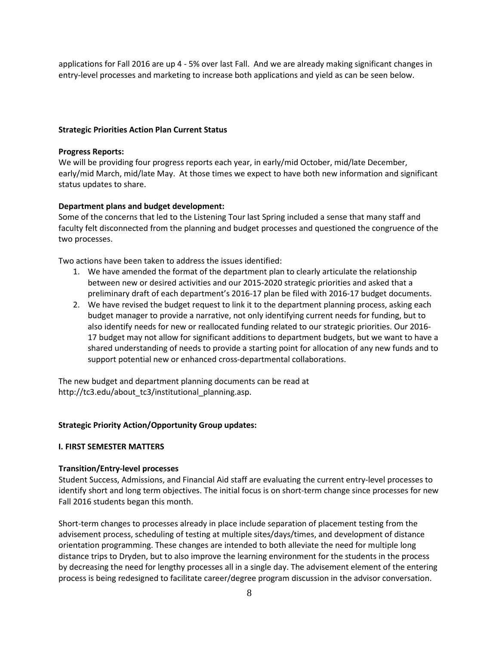applications for Fall 2016 are up 4 - 5% over last Fall. And we are already making significant changes in entry-level processes and marketing to increase both applications and yield as can be seen below.

### **Strategic Priorities Action Plan Current Status**

#### **Progress Reports:**

We will be providing four progress reports each year, in early/mid October, mid/late December, early/mid March, mid/late May. At those times we expect to have both new information and significant status updates to share.

### **Department plans and budget development:**

Some of the concerns that led to the Listening Tour last Spring included a sense that many staff and faculty felt disconnected from the planning and budget processes and questioned the congruence of the two processes.

Two actions have been taken to address the issues identified:

- 1. We have amended the format of the department plan to clearly articulate the relationship between new or desired activities and our 2015-2020 strategic priorities and asked that a preliminary draft of each department's 2016-17 plan be filed with 2016-17 budget documents.
- 2. We have revised the budget request to link it to the department planning process, asking each budget manager to provide a narrative, not only identifying current needs for funding, but to also identify needs for new or reallocated funding related to our strategic priorities. Our 2016- 17 budget may not allow for significant additions to department budgets, but we want to have a shared understanding of needs to provide a starting point for allocation of any new funds and to support potential new or enhanced cross-departmental collaborations.

The new budget and department planning documents can be read at http://tc3.edu/about\_tc3/institutional\_planning.asp.

#### **Strategic Priority Action/Opportunity Group updates:**

#### **I. FIRST SEMESTER MATTERS**

#### **Transition/Entry-level processes**

Student Success, Admissions, and Financial Aid staff are evaluating the current entry-level processes to identify short and long term objectives. The initial focus is on short-term change since processes for new Fall 2016 students began this month.

Short-term changes to processes already in place include separation of placement testing from the advisement process, scheduling of testing at multiple sites/days/times, and development of distance orientation programming. These changes are intended to both alleviate the need for multiple long distance trips to Dryden, but to also improve the learning environment for the students in the process by decreasing the need for lengthy processes all in a single day. The advisement element of the entering process is being redesigned to facilitate career/degree program discussion in the advisor conversation.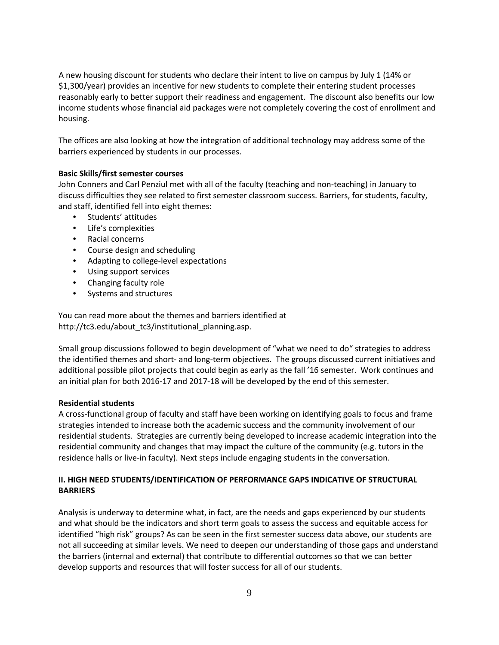A new housing discount for students who declare their intent to live on campus by July 1 (14% or \$1,300/year) provides an incentive for new students to complete their entering student processes reasonably early to better support their readiness and engagement. The discount also benefits our low income students whose financial aid packages were not completely covering the cost of enrollment and housing.

The offices are also looking at how the integration of additional technology may address some of the barriers experienced by students in our processes.

### **Basic Skills/first semester courses**

John Conners and Carl Penziul met with all of the faculty (teaching and non-teaching) in January to discuss difficulties they see related to first semester classroom success. Barriers, for students, faculty, and staff, identified fell into eight themes:

- Students' attitudes
- Life's complexities
- Racial concerns
- Course design and scheduling
- Adapting to college-level expectations
- Using support services
- Changing faculty role
- Systems and structures

You can read more about the themes and barriers identified at http://tc3.edu/about\_tc3/institutional\_planning.asp.

Small group discussions followed to begin development of "what we need to do" strategies to address the identified themes and short- and long-term objectives. The groups discussed current initiatives and additional possible pilot projects that could begin as early as the fall '16 semester. Work continues and an initial plan for both 2016-17 and 2017-18 will be developed by the end of this semester.

#### **Residential students**

A cross-functional group of faculty and staff have been working on identifying goals to focus and frame strategies intended to increase both the academic success and the community involvement of our residential students. Strategies are currently being developed to increase academic integration into the residential community and changes that may impact the culture of the community (e.g. tutors in the residence halls or live-in faculty). Next steps include engaging students in the conversation.

## **II. HIGH NEED STUDENTS/IDENTIFICATION OF PERFORMANCE GAPS INDICATIVE OF STRUCTURAL BARRIERS**

Analysis is underway to determine what, in fact, are the needs and gaps experienced by our students and what should be the indicators and short term goals to assess the success and equitable access for identified "high risk" groups? As can be seen in the first semester success data above, our students are not all succeeding at similar levels. We need to deepen our understanding of those gaps and understand the barriers (internal and external) that contribute to differential outcomes so that we can better develop supports and resources that will foster success for all of our students.